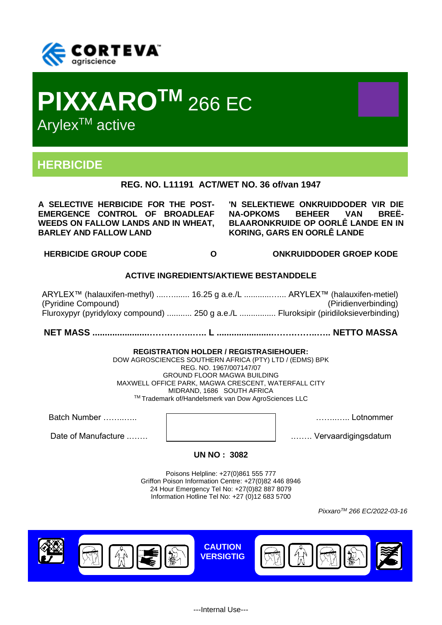



# **HERBICIDE**

**REG. NO. L11191 ACT/WET NO. 36 of/van 1947**

**A SELECTIVE HERBICIDE FOR THE POST-EMERGENCE CONTROL OF BROADLEAF WEEDS ON FALLOW LANDS AND IN WHEAT, BARLEY AND FALLOW LAND** 

**'N SELEKTIEWE ONKRUIDDODER VIR DIE NA-OPKOMS BEHEER VAN BREË-BLAARONKRUIDE OP OORLÊ LANDE EN IN KORING, GARS EN OORLÊ LANDE**

**HERBICIDE GROUP CODE O ONKRUIDDODER GROEP KODE**

## **ACTIVE INGREDIENTS/AKTIEWE BESTANDDELE**

ARYLEX™ (halauxifen-methyl) ....…....... 16.25 g a.e./L ............…... ARYLEX™ (halauxifen-metiel) (Pyridine Compound) (Piridienverbinding) Fluroxypyr (pyridyloxy compound) ........... 250 g a.e./L ................ Fluroksipir (piridiloksieverbinding)

**NET MASS .......................…….……..….. L .......................…….……..….. NETTO MASSA**

#### **REGISTRATION HOLDER / REGISTRASIEHOUER:**

DOW AGROSCIENCES SOUTHERN AFRICA (PTY) LTD / (EDMS) BPK REG. NO. 1967/007147/07 GROUND FLOOR MAGWA BUILDING MAXWELL OFFICE PARK, MAGWA CRESCENT, WATERFALL CITY MIDRAND, 1686 SOUTH AFRICA TM Trademark of/Handelsmerk van Dow AgroSciences LLC

Batch Number ……..….. ……..….. Lotnommer

Date of Manufacture .……. .……. Vervaardigingsdatum

**UN NO : 3082**

Poisons Helpline: +27(0)861 555 777 Griffon Poison Information Centre: +27(0)82 446 8946 24 Hour Emergency Tel No: +27(0)82 887 8079 Information Hotline Tel No: +27 (0)12 683 5700

*PixxaroTM 266 EC/2022-03-16*

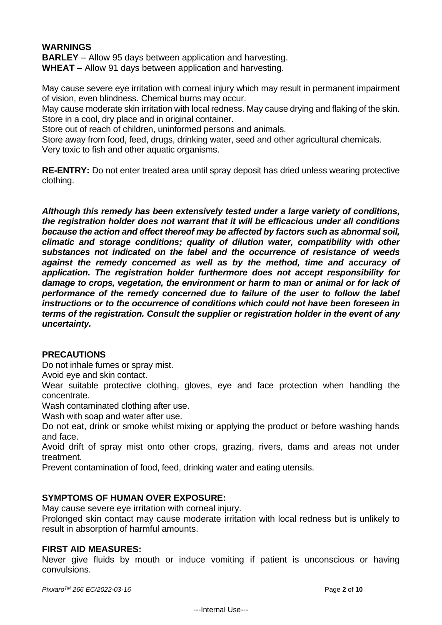## **WARNINGS**

**BARLEY** – Allow 95 days between application and harvesting. **WHEAT** – Allow 91 days between application and harvesting.

May cause severe eye irritation with corneal injury which may result in permanent impairment of vision, even blindness. Chemical burns may occur.

May cause moderate skin irritation with local redness. May cause drying and flaking of the skin. Store in a cool, dry place and in original container.

Store out of reach of children, uninformed persons and animals.

Store away from food, feed, drugs, drinking water, seed and other agricultural chemicals. Very toxic to fish and other aquatic organisms.

**RE-ENTRY:** Do not enter treated area until spray deposit has dried unless wearing protective clothing.

*Although this remedy has been extensively tested under a large variety of conditions, the registration holder does not warrant that it will be efficacious under all conditions because the action and effect thereof may be affected by factors such as abnormal soil, climatic and storage conditions; quality of dilution water, compatibility with other substances not indicated on the label and the occurrence of resistance of weeds against the remedy concerned as well as by the method, time and accuracy of application. The registration holder furthermore does not accept responsibility for damage to crops, vegetation, the environment or harm to man or animal or for lack of performance of the remedy concerned due to failure of the user to follow the label instructions or to the occurrence of conditions which could not have been foreseen in terms of the registration. Consult the supplier or registration holder in the event of any uncertainty.*

## **PRECAUTIONS**

Do not inhale fumes or spray mist.

Avoid eye and skin contact.

Wear suitable protective clothing, gloves, eye and face protection when handling the concentrate.

Wash contaminated clothing after use.

Wash with soap and water after use.

Do not eat, drink or smoke whilst mixing or applying the product or before washing hands and face.

Avoid drift of spray mist onto other crops, grazing, rivers, dams and areas not under treatment.

Prevent contamination of food, feed, drinking water and eating utensils.

#### **SYMPTOMS OF HUMAN OVER EXPOSURE:**

May cause severe eye irritation with corneal injury.

Prolonged skin contact may cause moderate irritation with local redness but is unlikely to result in absorption of harmful amounts.

#### **FIRST AID MEASURES:**

Never give fluids by mouth or induce vomiting if patient is unconscious or having convulsions.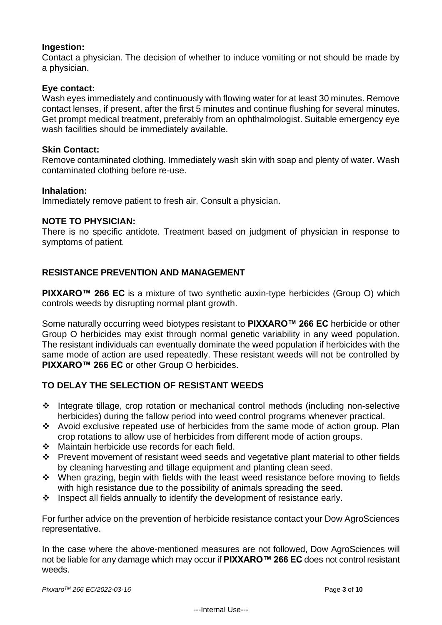## **Ingestion:**

Contact a physician. The decision of whether to induce vomiting or not should be made by a physician.

### **Eye contact:**

Wash eyes immediately and continuously with flowing water for at least 30 minutes. Remove contact lenses, if present, after the first 5 minutes and continue flushing for several minutes. Get prompt medical treatment, preferably from an ophthalmologist. Suitable emergency eye wash facilities should be immediately available.

#### **Skin Contact:**

Remove contaminated clothing. Immediately wash skin with soap and plenty of water. Wash contaminated clothing before re-use.

#### **Inhalation:**

Immediately remove patient to fresh air. Consult a physician.

### **NOTE TO PHYSICIAN:**

There is no specific antidote. Treatment based on judgment of physician in response to symptoms of patient.

## **RESISTANCE PREVENTION AND MANAGEMENT**

**PIXXARO™ 266 EC** is a mixture of two synthetic auxin-type herbicides (Group O) which controls weeds by disrupting normal plant growth.

Some naturally occurring weed biotypes resistant to **PIXXARO™ 266 EC** herbicide or other Group O herbicides may exist through normal genetic variability in any weed population. The resistant individuals can eventually dominate the weed population if herbicides with the same mode of action are used repeatedly. These resistant weeds will not be controlled by **PIXXARO™ 266 EC** or other Group O herbicides.

## **TO DELAY THE SELECTION OF RESISTANT WEEDS**

- ❖ Integrate tillage, crop rotation or mechanical control methods (including non-selective herbicides) during the fallow period into weed control programs whenever practical.
- ❖ Avoid exclusive repeated use of herbicides from the same mode of action group. Plan crop rotations to allow use of herbicides from different mode of action groups.
- ❖ Maintain herbicide use records for each field.
- ❖ Prevent movement of resistant weed seeds and vegetative plant material to other fields by cleaning harvesting and tillage equipment and planting clean seed.
- ❖ When grazing, begin with fields with the least weed resistance before moving to fields with high resistance due to the possibility of animals spreading the seed.
- $\div$  Inspect all fields annually to identify the development of resistance early.

For further advice on the prevention of herbicide resistance contact your Dow AgroSciences representative.

In the case where the above-mentioned measures are not followed, Dow AgroSciences will not be liable for any damage which may occur if **PIXXARO™ 266 EC** does not control resistant weeds.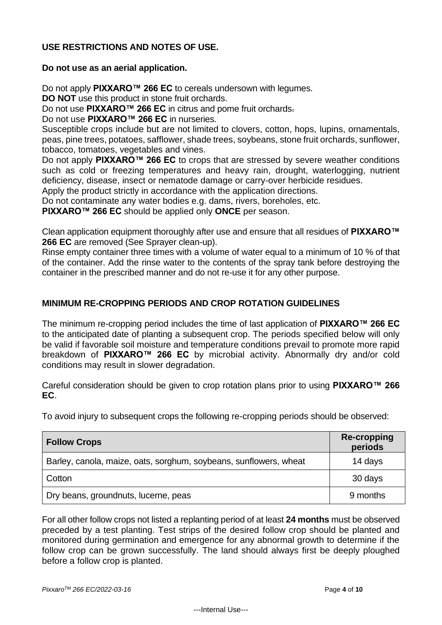# **USE RESTRICTIONS AND NOTES OF USE.**

### **Do not use as an aerial application.**

Do not apply **PIXXARO™ 266 EC** to cereals undersown with legumes.

**DO NOT** use this product in stone fruit orchards.

Do not use **PIXXARO™ 266 EC** in citrus and pome fruit orchards.

Do not use **PIXXARO™ 266 EC** in nurseries.

Susceptible crops include but are not limited to clovers, cotton, hops, lupins, ornamentals, peas, pine trees, potatoes, safflower, shade trees, soybeans, stone fruit orchards, sunflower, tobacco, tomatoes, vegetables and vines.

Do not apply **PIXXARO™ 266 EC** to crops that are stressed by severe weather conditions such as cold or freezing temperatures and heavy rain, drought, waterlogging, nutrient deficiency, disease, insect or nematode damage or carry-over herbicide residues.

Apply the product strictly in accordance with the application directions.

Do not contaminate any water bodies e.g. dams, rivers, boreholes, etc.

**PIXXARO™ 266 EC** should be applied only **ONCE** per season.

Clean application equipment thoroughly after use and ensure that all residues of **PIXXARO™ 266 EC** are removed (See Sprayer clean-up).

Rinse empty container three times with a volume of water equal to a minimum of 10 % of that of the container. Add the rinse water to the contents of the spray tank before destroying the container in the prescribed manner and do not re-use it for any other purpose.

# **MINIMUM RE-CROPPING PERIODS AND CROP ROTATION GUIDELINES**

The minimum re-cropping period includes the time of last application of **PIXXARO™ 266 EC** to the anticipated date of planting a subsequent crop. The periods specified below will only be valid if favorable soil moisture and temperature conditions prevail to promote more rapid breakdown of **PIXXARO™ 266 EC** by microbial activity. Abnormally dry and/or cold conditions may result in slower degradation.

Careful consideration should be given to crop rotation plans prior to using **PIXXARO™ 266 EC**.

To avoid injury to subsequent crops the following re-cropping periods should be observed:

| <b>Follow Crops</b>                                               | <b>Re-cropping</b><br>periods |
|-------------------------------------------------------------------|-------------------------------|
| Barley, canola, maize, oats, sorghum, soybeans, sunflowers, wheat | 14 days                       |
| Cotton                                                            | 30 days                       |
| Dry beans, groundnuts, lucerne, peas                              | 9 months                      |

For all other follow crops not listed a replanting period of at least **24 months** must be observed preceded by a test planting. Test strips of the desired follow crop should be planted and monitored during germination and emergence for any abnormal growth to determine if the follow crop can be grown successfully. The land should always first be deeply ploughed before a follow crop is planted.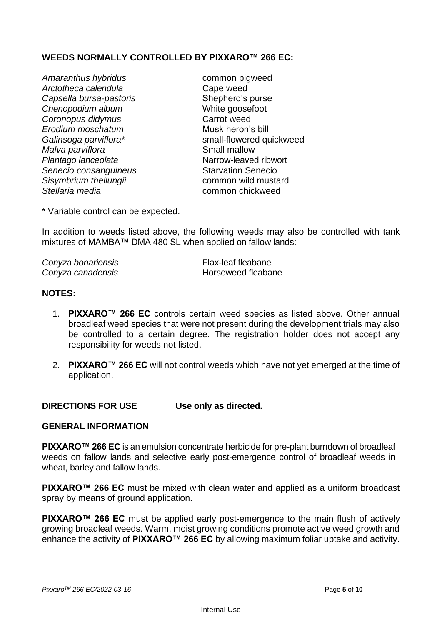# **WEEDS NORMALLY CONTROLLED BY PIXXARO™ 266 EC:**

- Amaranthus hybridus **common** pigweed *Arctotheca calendula* Cape weed *Capsella bursa-pastoris* Shepherd's purse **Chenopodium album** White goosefoot *Coronopus didymus* Carrot weed *Erodium moschatum* Musk heron's bill *Malva parviflora*<br> *Plantago lanceolata*<br>
Marrow-leaved ribwort *Plantago lanceolata* Narrow-leaved ribworth Chantago *Plantago lanceolata* Narrow-leaved ribworth Chantago Senecio **Senecio consanguineus** *Sisymbrium thellungii* common wild mustard *Stellaria media* common chickweed
- *Galinsoga parviflora\** small-flowered quickweed

\* Variable control can be expected.

In addition to weeds listed above, the following weeds may also be controlled with tank mixtures of MAMBA™ DMA 480 SL when applied on fallow lands:

| Conyza bonariensis | Flax-leaf fleabane |
|--------------------|--------------------|
| Conyza canadensis  | Horseweed fleabane |

### **NOTES:**

- 1. **PIXXARO™ 266 EC** controls certain weed species as listed above. Other annual broadleaf weed species that were not present during the development trials may also be controlled to a certain degree. The registration holder does not accept any responsibility for weeds not listed.
- 2. **PIXXARO™ 266 EC** will not control weeds which have not yet emerged at the time of application.

**DIRECTIONS FOR USE Use only as directed.**

#### **GENERAL INFORMATION**

**PIXXARO™ 266 EC** is an emulsion concentrate herbicide for pre-plant burndown of broadleaf weeds on fallow lands and selective early post-emergence control of broadleaf weeds in wheat, barley and fallow lands.

**PIXXARO™ 266 EC** must be mixed with clean water and applied as a uniform broadcast spray by means of ground application.

**PIXXARO™ 266 EC** must be applied early post-emergence to the main flush of actively growing broadleaf weeds. Warm, moist growing conditions promote active weed growth and enhance the activity of **PIXXARO™ 266 EC** by allowing maximum foliar uptake and activity.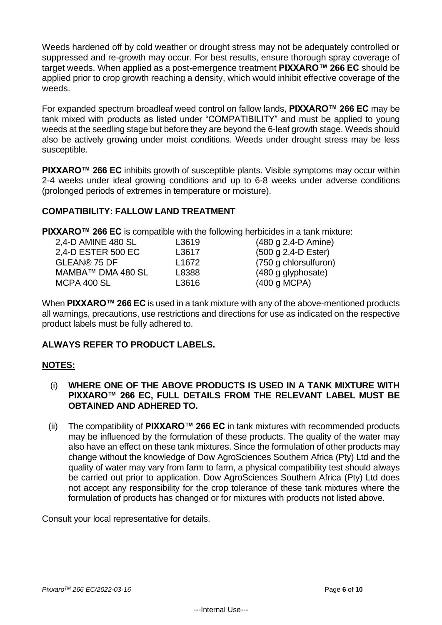Weeds hardened off by cold weather or drought stress may not be adequately controlled or suppressed and re-growth may occur. For best results, ensure thorough spray coverage of target weeds. When applied as a post-emergence treatment **PIXXARO™ 266 EC** should be applied prior to crop growth reaching a density, which would inhibit effective coverage of the weeds.

For expanded spectrum broadleaf weed control on fallow lands, **PIXXARO™ 266 EC** may be tank mixed with products as listed under "COMPATIBILITY" and must be applied to young weeds at the seedling stage but before they are beyond the 6-leaf growth stage. Weeds should also be actively growing under moist conditions. Weeds under drought stress may be less susceptible.

**PIXXARO™ 266 EC** inhibits growth of susceptible plants. Visible symptoms may occur within 2-4 weeks under ideal growing conditions and up to 6-8 weeks under adverse conditions (prolonged periods of extremes in temperature or moisture).

# **COMPATIBILITY: FALLOW LAND TREATMENT**

**PIXXARO™ 266 EC** is compatible with the following herbicides in a tank mixture:

| 2,4-D AMINE 480 SL | L3619             | $(480 g 2, 4-D$ Amine) |
|--------------------|-------------------|------------------------|
| 2,4-D ESTER 500 EC | L3617             | $(500 g 2, 4-D Ester)$ |
| GLEAN® 75 DF       | L <sub>1672</sub> | (750 g chlorsulfuron)  |
| MAMBA™ DMA 480 SL  | L8388             | (480 g glyphosate)     |
| MCPA 400 SL        | L3616             | (400 g MCPA)           |
|                    |                   |                        |

When **PIXXARO™ 266 EC** is used in a tank mixture with any of the above-mentioned products all warnings, precautions, use restrictions and directions for use as indicated on the respective product labels must be fully adhered to.

# **ALWAYS REFER TO PRODUCT LABELS.**

# **NOTES:**

- (i) **WHERE ONE OF THE ABOVE PRODUCTS IS USED IN A TANK MIXTURE WITH PIXXARO™ 266 EC, FULL DETAILS FROM THE RELEVANT LABEL MUST BE OBTAINED AND ADHERED TO.**
- (ii) The compatibility of **PIXXARO™ 266 EC** in tank mixtures with recommended products may be influenced by the formulation of these products. The quality of the water may also have an effect on these tank mixtures. Since the formulation of other products may change without the knowledge of Dow AgroSciences Southern Africa (Pty) Ltd and the quality of water may vary from farm to farm, a physical compatibility test should always be carried out prior to application. Dow AgroSciences Southern Africa (Pty) Ltd does not accept any responsibility for the crop tolerance of these tank mixtures where the formulation of products has changed or for mixtures with products not listed above.

Consult your local representative for details.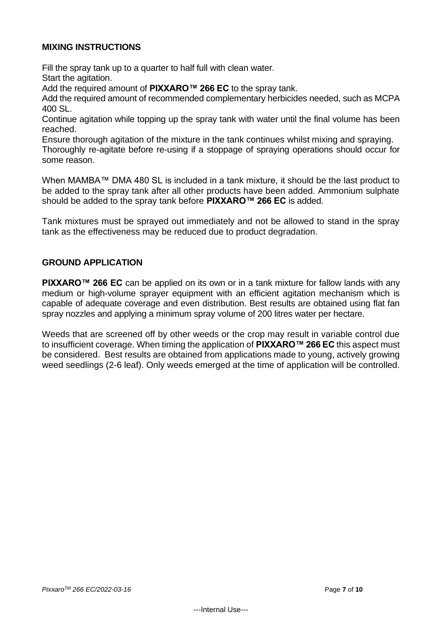## **MIXING INSTRUCTIONS**

Fill the spray tank up to a quarter to half full with clean water. Start the agitation.

Add the required amount of **PIXXARO™ 266 EC** to the spray tank.

Add the required amount of recommended complementary herbicides needed, such as MCPA 400 SL.

Continue agitation while topping up the spray tank with water until the final volume has been reached.

Ensure thorough agitation of the mixture in the tank continues whilst mixing and spraying. Thoroughly re-agitate before re-using if a stoppage of spraying operations should occur for some reason.

When MAMBA™ DMA 480 SL is included in a tank mixture, it should be the last product to be added to the spray tank after all other products have been added. Ammonium sulphate should be added to the spray tank before **PIXXARO™ 266 EC** is added.

Tank mixtures must be sprayed out immediately and not be allowed to stand in the spray tank as the effectiveness may be reduced due to product degradation.

## **GROUND APPLICATION**

**PIXXARO™ 266 EC** can be applied on its own or in a tank mixture for fallow lands with any medium or high-volume sprayer equipment with an efficient agitation mechanism which is capable of adequate coverage and even distribution. Best results are obtained using flat fan spray nozzles and applying a minimum spray volume of 200 litres water per hectare.

Weeds that are screened off by other weeds or the crop may result in variable control due to insufficient coverage. When timing the application of **PIXXARO™ 266 EC** this aspect must be considered. Best results are obtained from applications made to young, actively growing weed seedlings (2-6 leaf). Only weeds emerged at the time of application will be controlled.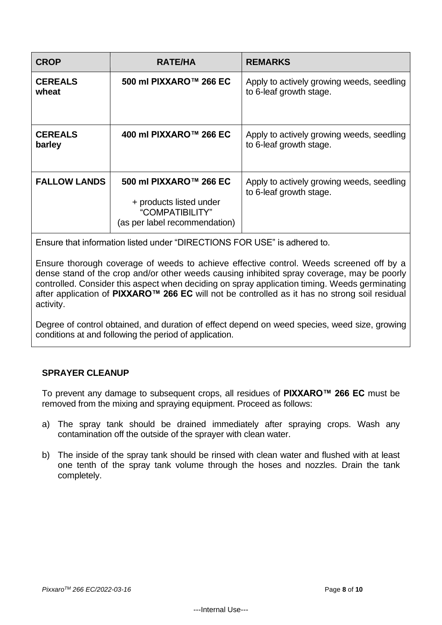| <b>CROP</b>              | <b>RATE/HA</b>                                                                                        | <b>REMARKS</b>                                                       |
|--------------------------|-------------------------------------------------------------------------------------------------------|----------------------------------------------------------------------|
| <b>CEREALS</b><br>wheat  | 500 ml PIXXARO™ 266 EC                                                                                | Apply to actively growing weeds, seedling<br>to 6-leaf growth stage. |
| <b>CEREALS</b><br>barley | 400 ml PIXXARO™ 266 EC                                                                                | Apply to actively growing weeds, seedling<br>to 6-leaf growth stage. |
| <b>FALLOW LANDS</b>      | 500 ml PIXXARO™ 266 EC<br>+ products listed under<br>"COMPATIBILITY"<br>(as per label recommendation) | Apply to actively growing weeds, seedling<br>to 6-leaf growth stage. |

Ensure that information listed under "DIRECTIONS FOR USE" is adhered to.

Ensure thorough coverage of weeds to achieve effective control. Weeds screened off by a dense stand of the crop and/or other weeds causing inhibited spray coverage, may be poorly controlled. Consider this aspect when deciding on spray application timing. Weeds germinating after application of **PIXXARO™ 266 EC** will not be controlled as it has no strong soil residual activity.

Degree of control obtained, and duration of effect depend on weed species, weed size, growing conditions at and following the period of application.

# **SPRAYER CLEANUP**

To prevent any damage to subsequent crops, all residues of **PIXXARO™ 266 EC** must be removed from the mixing and spraying equipment. Proceed as follows:

- a) The spray tank should be drained immediately after spraying crops. Wash any contamination off the outside of the sprayer with clean water.
- b) The inside of the spray tank should be rinsed with clean water and flushed with at least one tenth of the spray tank volume through the hoses and nozzles. Drain the tank completely.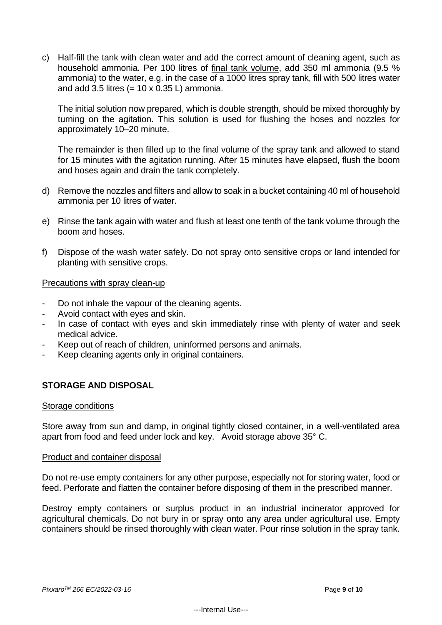c) Half-fill the tank with clean water and add the correct amount of cleaning agent, such as household ammonia. Per 100 litres of final tank volume, add 350 ml ammonia (9.5 % ammonia) to the water, e.g. in the case of a 1000 litres spray tank, fill with 500 litres water and add 3.5 litres  $(= 10 \times 0.35 L)$  ammonia.

The initial solution now prepared, which is double strength, should be mixed thoroughly by turning on the agitation. This solution is used for flushing the hoses and nozzles for approximately 10‒20 minute.

The remainder is then filled up to the final volume of the spray tank and allowed to stand for 15 minutes with the agitation running. After 15 minutes have elapsed, flush the boom and hoses again and drain the tank completely.

- d) Remove the nozzles and filters and allow to soak in a bucket containing 40 ml of household ammonia per 10 litres of water.
- e) Rinse the tank again with water and flush at least one tenth of the tank volume through the boom and hoses.
- f) Dispose of the wash water safely. Do not spray onto sensitive crops or land intended for planting with sensitive crops.

### Precautions with spray clean-up

- Do not inhale the vapour of the cleaning agents.
- Avoid contact with eyes and skin.
- In case of contact with eyes and skin immediately rinse with plenty of water and seek medical advice.
- Keep out of reach of children, uninformed persons and animals.
- Keep cleaning agents only in original containers.

## **STORAGE AND DISPOSAL**

#### Storage conditions

Store away from sun and damp, in original tightly closed container, in a well-ventilated area apart from food and feed under lock and key. Avoid storage above 35° C.

#### Product and container disposal

Do not re-use empty containers for any other purpose, especially not for storing water, food or feed. Perforate and flatten the container before disposing of them in the prescribed manner.

Destroy empty containers or surplus product in an industrial incinerator approved for agricultural chemicals. Do not bury in or spray onto any area under agricultural use. Empty containers should be rinsed thoroughly with clean water. Pour rinse solution in the spray tank.